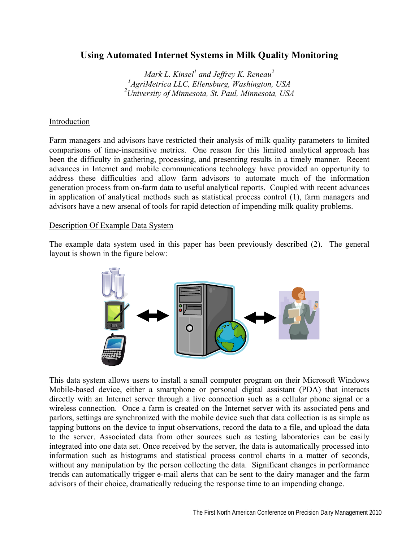# **Using Automated Internet Systems in Milk Quality Monitoring**

 $Mark L$ . Kinsel<sup>1</sup> and Jeffrey K. Reneau<sup>2</sup> *1 AgriMetrica LLC, Ellensburg, Washington, USA 2 University of Minnesota, St. Paul, Minnesota, USA* 

# Introduction

Farm managers and advisors have restricted their analysis of milk quality parameters to limited comparisons of time-insensitive metrics. One reason for this limited analytical approach has been the difficulty in gathering, processing, and presenting results in a timely manner. Recent advances in Internet and mobile communications technology have provided an opportunity to address these difficulties and allow farm advisors to automate much of the information generation process from on-farm data to useful analytical reports. Coupled with recent advances in application of analytical methods such as statistical process control (1), farm managers and advisors have a new arsenal of tools for rapid detection of impending milk quality problems.

#### Description Of Example Data System

The example data system used in this paper has been previously described (2). The general layout is shown in the figure below:



This data system allows users to install a small computer program on their Microsoft Windows Mobile-based device, either a smartphone or personal digital assistant (PDA) that interacts directly with an Internet server through a live connection such as a cellular phone signal or a wireless connection. Once a farm is created on the Internet server with its associated pens and parlors, settings are synchronized with the mobile device such that data collection is as simple as tapping buttons on the device to input observations, record the data to a file, and upload the data to the server. Associated data from other sources such as testing laboratories can be easily integrated into one data set. Once received by the server, the data is automatically processed into information such as histograms and statistical process control charts in a matter of seconds, without any manipulation by the person collecting the data. Significant changes in performance trends can automatically trigger e-mail alerts that can be sent to the dairy manager and the farm advisors of their choice, dramatically reducing the response time to an impending change.